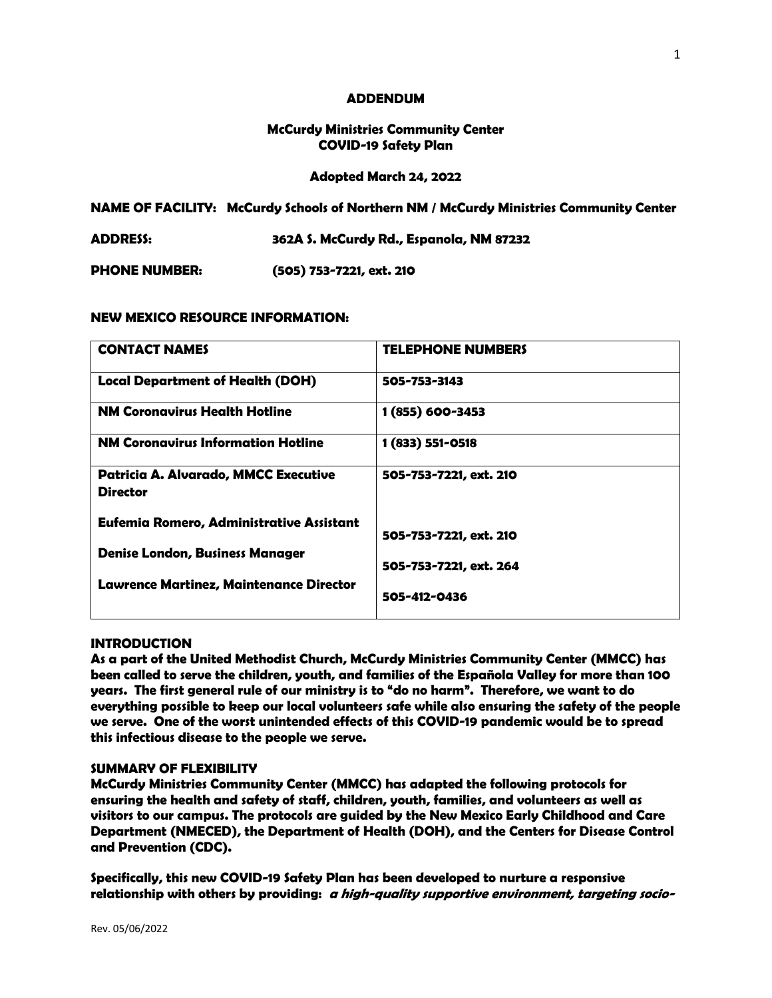#### **ADDENDUM**

## **McCurdy Ministries Community Center COVID-19 Safety Plan**

### **Adopted March 24, 2022**

**NAME OF FACILITY: McCurdy Schools of Northern NM / McCurdy Ministries Community Center**

**ADDRESS: 362A S. McCurdy Rd., Espanola, NM 87232**

**PHONE NUMBER: (505) 753-7221, ext. 210**

### **NEW MEXICO RESOURCE INFORMATION:**

| <b>CONTACT NAMES</b>                                                               | <b>TELEPHONE NUMBERS</b> |
|------------------------------------------------------------------------------------|--------------------------|
| <b>Local Department of Health (DOH)</b>                                            | 505-753-3143             |
| <b>NM Coronavirus Health Hotline</b>                                               | 1 (855) 600-3453         |
| <b>NM Coronavirus Information Hotline</b>                                          | 1 (833) 551-0518         |
| <b>Patricia A. Alvarado, MMCC Executive</b><br><b>Director</b>                     | 505-753-7221, ext. 210   |
| Eufemia Romero, Administrative Assistant<br><b>Denise London, Business Manager</b> | 505-753-7221, ext. 210   |
| <b>Lawrence Martinez, Maintenance Director</b>                                     | 505-753-7221, ext. 264   |
|                                                                                    | 505-412-0436             |

#### **INTRODUCTION**

**As a part of the United Methodist Church, McCurdy Ministries Community Center (MMCC) has been called to serve the children, youth, and families of the Española Valley for more than 100 years. The first general rule of our ministry is to "do no harm". Therefore, we want to do everything possible to keep our local volunteers safe while also ensuring the safety of the people we serve. One of the worst unintended effects of this COVID-19 pandemic would be to spread this infectious disease to the people we serve.**

#### **SUMMARY OF FLEXIBILITY**

**McCurdy Ministries Community Center (MMCC) has adapted the following protocols for ensuring the health and safety of staff, children, youth, families, and volunteers as well as visitors to our campus. The protocols are guided by the New Mexico Early Childhood and Care Department (NMECED), the Department of Health (DOH), and the Centers for Disease Control and Prevention (CDC).** 

**Specifically, this new COVID-19 Safety Plan has been developed to nurture a responsive relationship with others by providing: a high-quality supportive environment, targeting socio-**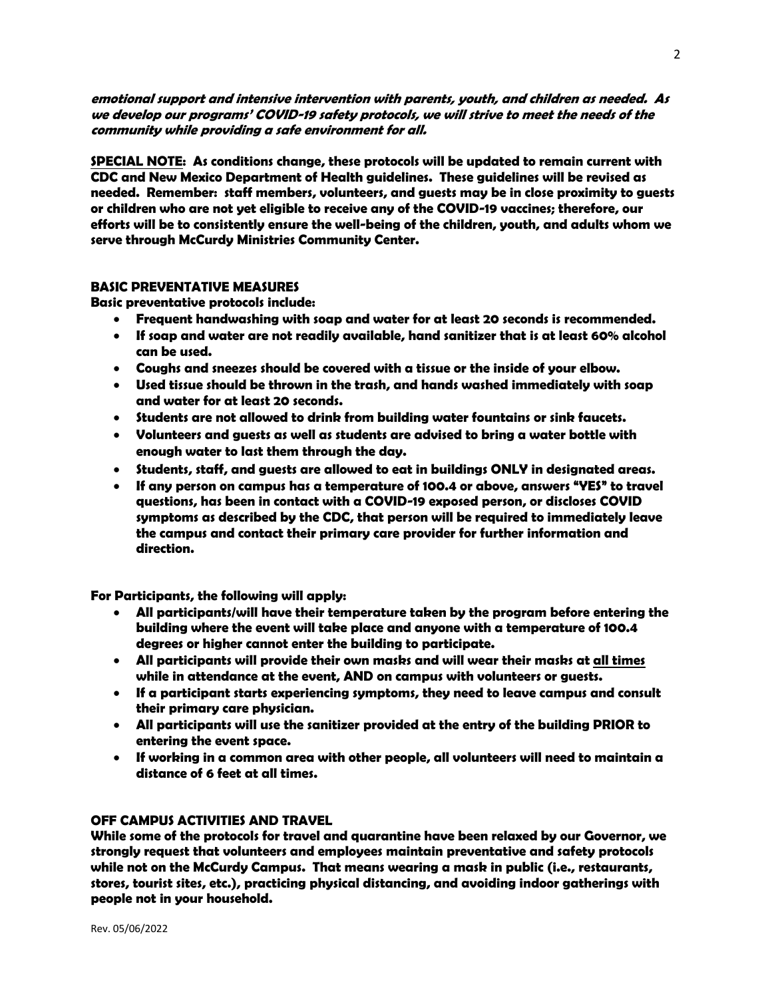**emotional support and intensive intervention with parents, youth, and children as needed. As we develop our programs' COVID-19 safety protocols, we will strive to meet the needs of the community while providing a safe environment for all.**

**SPECIAL NOTE: As conditions change, these protocols will be updated to remain current with CDC and New Mexico Department of Health guidelines. These guidelines will be revised as needed. Remember: staff members, volunteers, and guests may be in close proximity to guests or children who are not yet eligible to receive any of the COVID-19 vaccines; therefore, our efforts will be to consistently ensure the well-being of the children, youth, and adults whom we serve through McCurdy Ministries Community Center.** 

#### **BASIC PREVENTATIVE MEASURES**

**Basic preventative protocols include:** 

- **Frequent handwashing with soap and water for at least 20 seconds is recommended.**
- **If soap and water are not readily available, hand sanitizer that is at least 60% alcohol can be used.**
- **Coughs and sneezes should be covered with a tissue or the inside of your elbow.**
- **Used tissue should be thrown in the trash, and hands washed immediately with soap and water for at least 20 seconds.**
- **Students are not allowed to drink from building water fountains or sink faucets.**
- **Volunteers and guests as well as students are advised to bring a water bottle with enough water to last them through the day.**
- **Students, staff, and guests are allowed to eat in buildings ONLY in designated areas.**
- **If any person on campus has a temperature of 100.4 or above, answers "YES" to travel questions, has been in contact with a COVID-19 exposed person, or discloses COVID symptoms as described by the CDC, that person will be required to immediately leave the campus and contact their primary care provider for further information and direction.**

**For Participants, the following will apply:**

- **All participants/will have their temperature taken by the program before entering the building where the event will take place and anyone with a temperature of 100.4 degrees or higher cannot enter the building to participate.**
- **All participants will provide their own masks and will wear their masks at all times while in attendance at the event, AND on campus with volunteers or guests.**
- **If a participant starts experiencing symptoms, they need to leave campus and consult their primary care physician.**
- **All participants will use the sanitizer provided at the entry of the building PRIOR to entering the event space.**
- **If working in a common area with other people, all volunteers will need to maintain a distance of 6 feet at all times.**

# **OFF CAMPUS ACTIVITIES AND TRAVEL**

**While some of the protocols for travel and quarantine have been relaxed by our Governor, we strongly request that volunteers and employees maintain preventative and safety protocols while not on the McCurdy Campus. That means wearing a mask in public (i.e., restaurants, stores, tourist sites, etc.), practicing physical distancing, and avoiding indoor gatherings with people not in your household.**